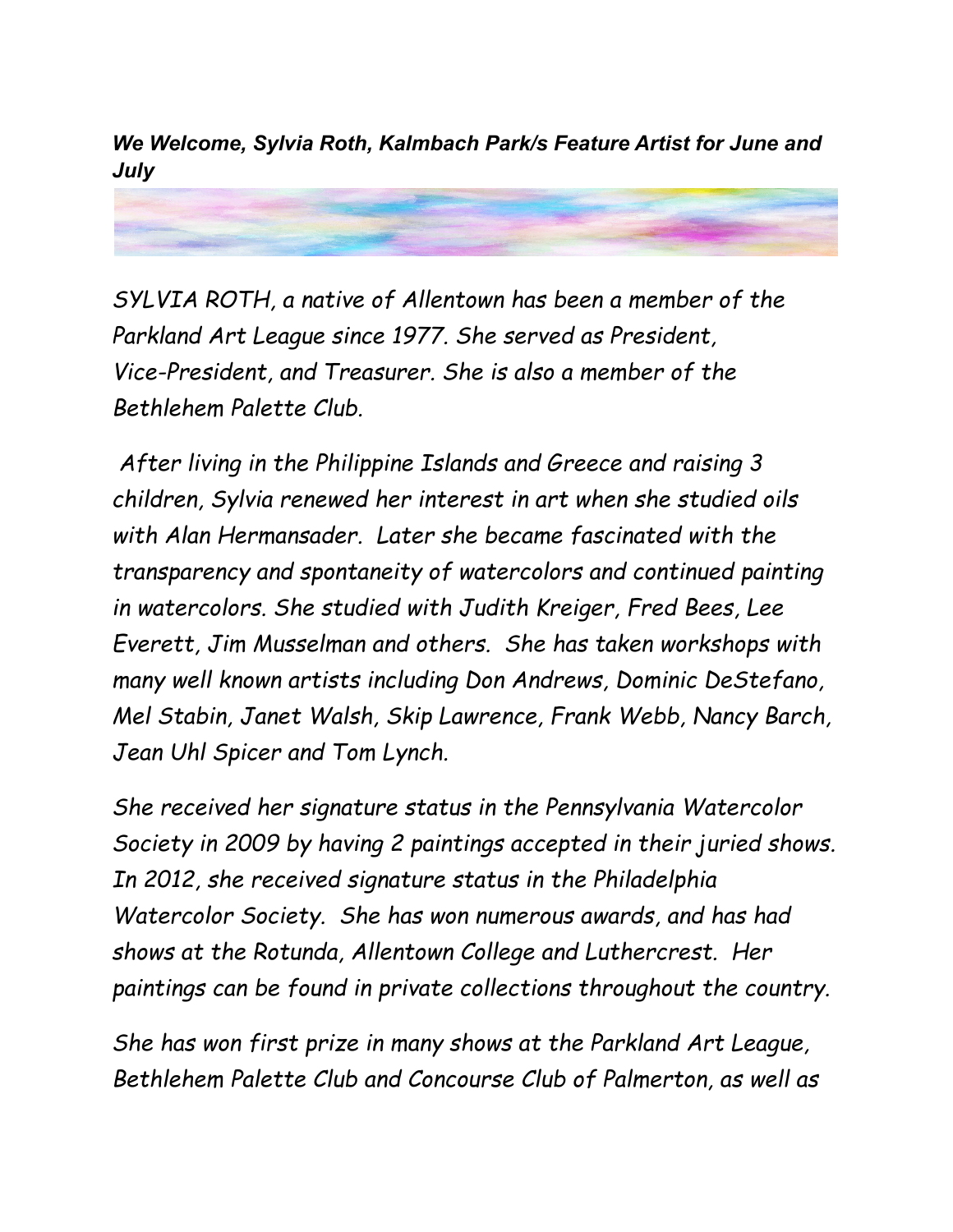*We Welcome, Sylvia Roth, Kalmbach Park/s Feature Artist for June and July*

*SYLVIA ROTH, a native of Allentown has been a member of the Parkland Art League since 1977. She served as President, Vice-President, and Treasurer. She is also a member of the Bethlehem Palette Club.*

*After living in the Philippine Islands and Greece and raising 3 children, Sylvia renewed her interest in art when she studied oils with Alan Hermansader. Later she became fascinated with the transparency and spontaneity of watercolors and continued painting in watercolors. She studied with Judith Kreiger, Fred Bees, Lee Everett, Jim Musselman and others. She has taken workshops with many well known artists including Don Andrews, Dominic DeStefano, Mel Stabin, Janet Walsh, Skip Lawrence, Frank Webb, Nancy Barch, Jean Uhl Spicer and Tom Lynch.*

*She received her signature status in the Pennsylvania Watercolor Society in 2009 by having 2 paintings accepted in their juried shows. In 2012, she received signature status in the Philadelphia Watercolor Society. She has won numerous awards, and has had shows at the Rotunda, Allentown College and Luthercrest. Her paintings can be found in private collections throughout the country.*

*She has won first prize in many shows at the Parkland Art League, Bethlehem Palette Club and Concourse Club of Palmerton, as well as*